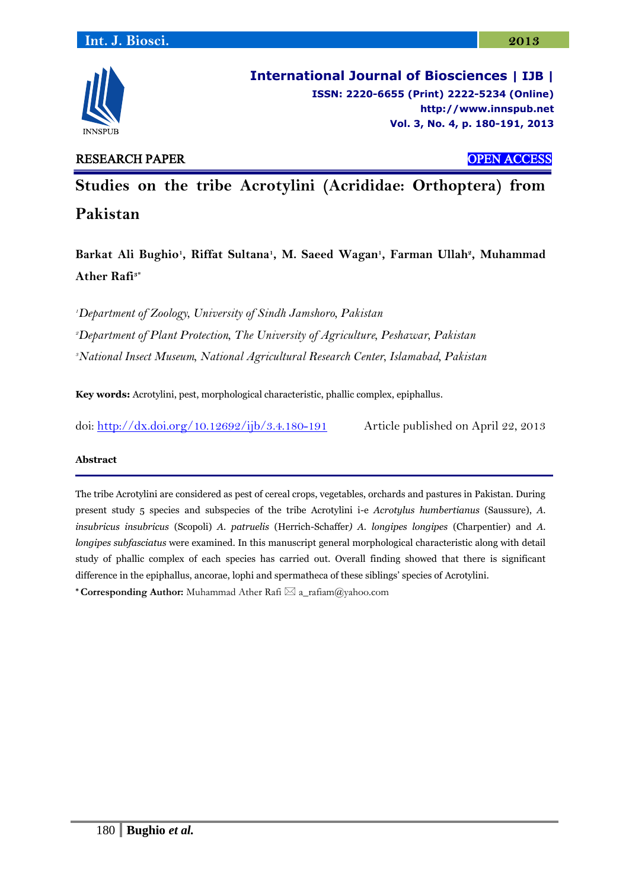

**International Journal of Biosciences | IJB | ISSN: 2220-6655 (Print) 2222-5234 (Online) [http://www.](http://www/)innspub.net Vol. 3, No. 4, p. 180-191, 2013**

# RESEARCH PAPER OPEN ACCESS

**Studies on the tribe Acrotylini (Acrididae: Orthoptera) from Pakistan**

**Barkat Ali Bughio<sup>1</sup> , Riffat Sultana<sup>1</sup> , M. Saeed Wagan<sup>1</sup> , Farman Ullah<sup>2</sup> , Muhammad Ather Rafi3\***

*<sup>1</sup>Department of Zoology, University of Sindh Jamshoro, Pakistan*

*<sup>2</sup>Department of Plant Protection, The University of Agriculture, Peshawar, Pakistan* 

*<sup>3</sup>National Insect Museum, National Agricultural Research Center, Islamabad, Pakistan* 

**Key words:** Acrotylini, pest, morphological characteristic, phallic complex, epiphallus.

doi:<http://dx.doi.org/10.12692/ijb/3.4.180-191> Article published on April 22, 2013

# **Abstract**

The tribe Acrotylini are considered as pest of cereal crops, vegetables, orchards and pastures in Pakistan. During present study 5 species and subspecies of the tribe Acrotylini i-e *Acrotylus humbertianus* (Saussure), *A. insubricus insubricus* (Scopoli) *A. patruelis* (Herrich-Schaffer*) A. longipes longipes* (Charpentier) and *A. longipes subfasciatus* were examined. In this manuscript general morphological characteristic along with detail study of phallic complex of each species has carried out. Overall finding showed that there is significant difference in the epiphallus, ancorae, lophi and spermatheca of these siblings' species of Acrotylini.

\* **Corresponding Author:** Muhammad Ather Rafi  $\boxtimes$  a\_rafiam@yahoo.com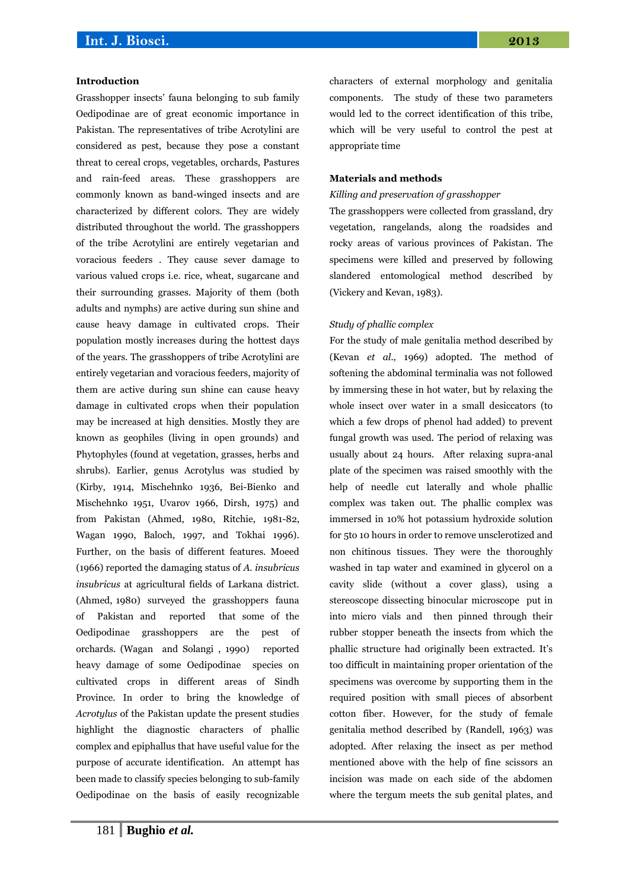### **Introduction**

Grasshopper insects' fauna belonging to sub family Oedipodinae are of great economic importance in Pakistan. The representatives of tribe Acrotylini are considered as pest, because they pose a constant threat to cereal crops, vegetables, orchards, Pastures and rain-feed areas. These grasshoppers are commonly known as band-winged insects and are characterized by different colors. They are widely distributed throughout the world. The grasshoppers of the tribe Acrotylini are entirely vegetarian and voracious feeders . They cause sever damage to various valued crops i.e. rice, wheat, sugarcane and their surrounding grasses. Majority of them (both adults and nymphs) are active during sun shine and cause heavy damage in cultivated crops. Their population mostly increases during the hottest days of the years. The grasshoppers of tribe Acrotylini are entirely vegetarian and voracious feeders, majority of them are active during sun shine can cause heavy damage in cultivated crops when their population may be increased at high densities. Mostly they are known as geophiles (living in open grounds) and Phytophyles (found at vegetation, grasses, herbs and shrubs). Earlier, genus Acrotylus was studied by (Kirby, 1914, Mischehnko 1936, Bei-Bienko and Mischehnko 1951, Uvarov 1966, Dirsh, 1975) and from Pakistan (Ahmed, 1980, Ritchie, 1981-82, Wagan 1990, Baloch, 1997, and Tokhai 1996). Further, on the basis of different features. Moeed (1966) reported the damaging status of *A. insubricus insubricus* at agricultural fields of Larkana district. (Ahmed, 1980) surveyed the grasshoppers fauna of Pakistan and reported that some of the Oedipodinae grasshoppers are the pest of orchards. (Wagan and Solangi , 1990) reported heavy damage of some Oedipodinae species on cultivated crops in different areas of Sindh Province. In order to bring the knowledge of *Acrotylus* of the Pakistan update the present studies highlight the diagnostic characters of phallic complex and epiphallus that have useful value for the purpose of accurate identification. An attempt has been made to classify species belonging to sub-family Oedipodinae on the basis of easily recognizable characters of external morphology and genitalia components. The study of these two parameters would led to the correct identification of this tribe, which will be very useful to control the pest at appropriate time

### **Materials and methods**

#### *Killing and preservation of grasshopper*

The grasshoppers were collected from grassland, dry vegetation, rangelands, along the roadsides and rocky areas of various provinces of Pakistan. The specimens were killed and preserved by following slandered entomological method described by (Vickery and Kevan, 1983).

#### *Study of phallic complex*

For the study of male genitalia method described by (Kevan *et al.,* 1969) adopted. The method of softening the abdominal terminalia was not followed by immersing these in hot water, but by relaxing the whole insect over water in a small desiccators (to which a few drops of phenol had added) to prevent fungal growth was used. The period of relaxing was usually about 24 hours. After relaxing supra-anal plate of the specimen was raised smoothly with the help of needle cut laterally and whole phallic complex was taken out. The phallic complex was immersed in 10% hot potassium hydroxide solution for 5to 10 hours in order to remove unsclerotized and non chitinous tissues. They were the thoroughly washed in tap water and examined in glycerol on a cavity slide (without a cover glass), using a stereoscope dissecting binocular microscope put in into micro vials and then pinned through their rubber stopper beneath the insects from which the phallic structure had originally been extracted. It's too difficult in maintaining proper orientation of the specimens was overcome by supporting them in the required position with small pieces of absorbent cotton fiber. However, for the study of female genitalia method described by (Randell, 1963) was adopted. After relaxing the insect as per method mentioned above with the help of fine scissors an incision was made on each side of the abdomen where the tergum meets the sub genital plates, and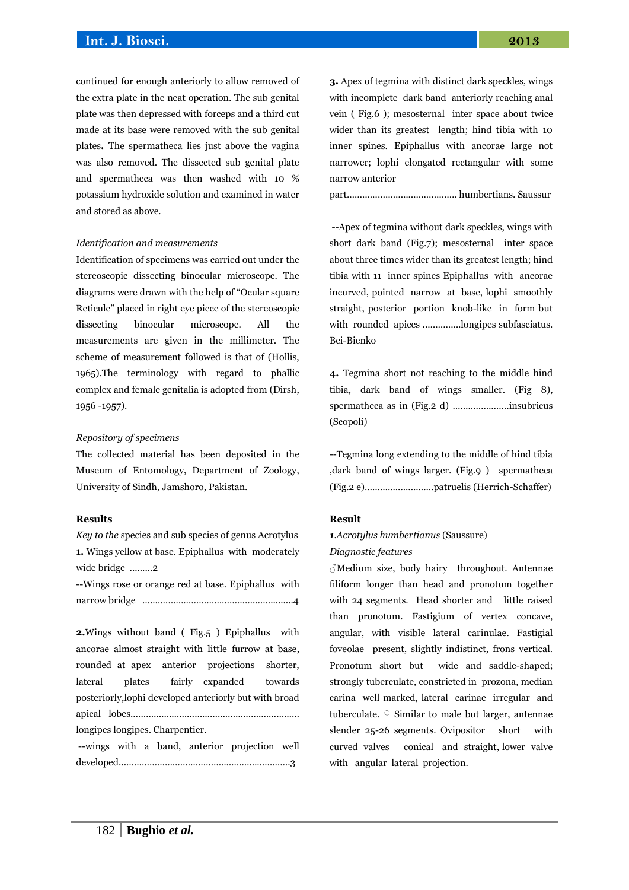continued for enough anteriorly to allow removed of the extra plate in the neat operation. The sub genital plate was then depressed with forceps and a third cut made at its base were removed with the sub genital plates**.** The spermatheca lies just above the vagina was also removed. The dissected sub genital plate and spermatheca was then washed with 10 % potassium hydroxide solution and examined in water and stored as above.

#### *Identification and measurements*

Identification of specimens was carried out under the stereoscopic dissecting binocular microscope. The diagrams were drawn with the help of "Ocular square Reticule" placed in right eye piece of the stereoscopic dissecting binocular microscope. All the measurements are given in the millimeter. The scheme of measurement followed is that of (Hollis, 1965).The terminology with regard to phallic complex and female genitalia is adopted from (Dirsh, 1956 -1957).

## *Repository of specimens*

The collected material has been deposited in the Museum of Entomology, Department of Zoology, University of Sindh, Jamshoro, Pakistan.

#### **Results**

*Key to the* species and sub species of genus Acrotylus **1.** Wings yellow at base. Epiphallus with moderately wide bridge .........2

--Wings rose or orange red at base. Epiphallus with narrow bridge ….………………………………….…….........4

**2.**Wings without band ( Fig.5 ) Epiphallus with ancorae almost straight with little furrow at base, rounded at apex anterior projections shorter, lateral plates fairly expanded towards posteriorly,lophi developed anteriorly but with broad apical lobes.…………………………………………..…………… longipes longipes. Charpentier.

--wings with a band, anterior projection well developed...……………………………………………………….3

**3.** Apex of tegmina with distinct dark speckles, wings with incomplete dark band anteriorly reaching anal vein ( Fig.6 ); mesosternal inter space about twice wider than its greatest length; hind tibia with 10 inner spines. Epiphallus with ancorae large not narrower; lophi elongated rectangular with some narrow anterior

part………………………….………… humbertians. Saussur

--Apex of tegmina without dark speckles, wings with short dark band (Fig.7); mesosternal inter space about three times wider than its greatest length; hind tibia with 11 inner spines Epiphallus with ancorae incurved, pointed narrow at base, lophi smoothly straight, posterior portion knob-like in form but with rounded apices ..………….longipes subfasciatus. Bei-Bienko

**4.** Tegmina short not reaching to the middle hind tibia, dark band of wings smaller. (Fig 8), spermatheca as in (Fig.2 d) ………………….insubricus (Scopoli)

--Tegmina long extending to the middle of hind tibia ,dark band of wings larger. (Fig.9 ) spermatheca (Fig.2 e)………..................patruelis (Herrich-Schaffer)

# **Result**

# *1.Acrotylus humbertianus* (Saussure) *Diagnostic features*

 $\beta$ Medium size, body hairy throughout. Antennae filiform longer than head and pronotum together with 24 segments. Head shorter and little raised than pronotum. Fastigium of vertex concave, angular, with visible lateral carinulae. Fastigial foveolae present, slightly indistinct, frons vertical. Pronotum short but wide and saddle-shaped; strongly tuberculate, constricted in prozona, median carina well marked, lateral carinae irregular and tuberculate.  $\mathcal{Q}$  Similar to male but larger, antennae slender 25-26 segments. Ovipositor short with curved valves conical and straight, lower valve with angular lateral projection.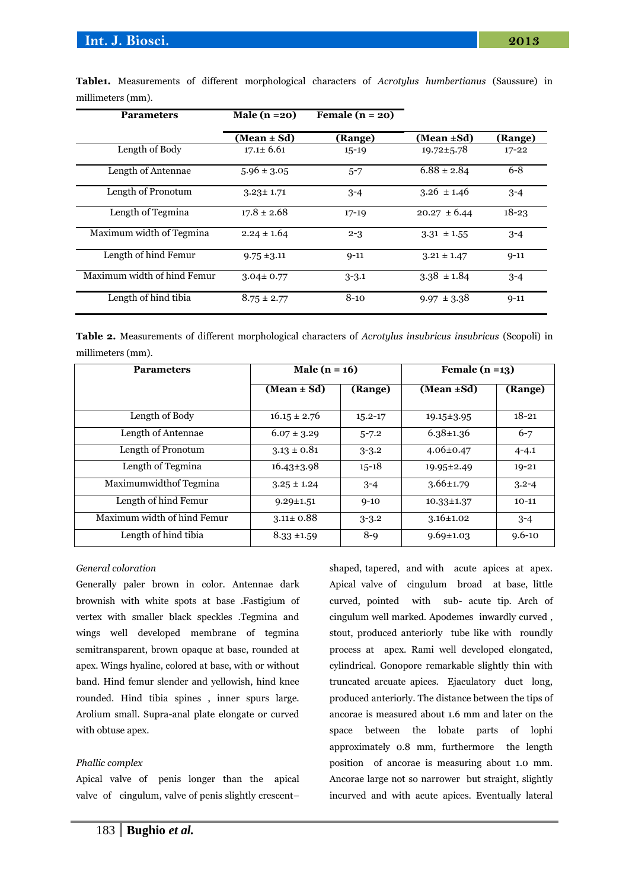| <b>Parameters</b>           | Male $(n=20)$   | Female $(n = 20)$ |                  |           |
|-----------------------------|-----------------|-------------------|------------------|-----------|
|                             | (Mean ± Sd)     | (Range)           | (Mean $\pm$ Sd)  | (Range)   |
| Length of Body              | $17.1 \pm 6.61$ | $15 - 19$         | $19.72 \pm 5.78$ | $17 - 22$ |
| Length of Antennae          | $5.96 \pm 3.05$ | $5 - 7$           | $6.88 \pm 2.84$  | $6 - 8$   |
| Length of Pronotum          | $3.23 \pm 1.71$ | $3 - 4$           | $3.26 \pm 1.46$  | $3 - 4$   |
| Length of Tegmina           | $17.8 \pm 2.68$ | $17 - 19$         | $20.27 \pm 6.44$ | $18 - 23$ |
| Maximum width of Tegmina    | $2.24 \pm 1.64$ | $2 - 3$           | $3.31 \pm 1.55$  | $3 - 4$   |
| Length of hind Femur        | $9.75 \pm 3.11$ | $9 - 11$          | $3.21 \pm 1.47$  | $9 - 11$  |
| Maximum width of hind Femur | $3.04 \pm 0.77$ | $3 - 3.1$         | $3.38 \pm 1.84$  | $3 - 4$   |
| Length of hind tibia        | $8.75 \pm 2.77$ | $8 - 10$          | $9.97 \pm 3.38$  | $9 - 11$  |

**Table1.** Measurements of different morphological characters of *Acrotylus humbertianus* (Saussure) in millimeters (mm).

**Table 2.** Measurements of different morphological characters of *Acrotylus insubricus insubricus* (Scopoli) in millimeters (mm).

| <b>Parameters</b>           | Male $(n = 16)$  |             | Female $(n=13)$  |            |
|-----------------------------|------------------|-------------|------------------|------------|
|                             | (Mean $\pm$ Sd)  | (Range)     | (Mean ±Sd)       | (Range)    |
| Length of Body              | $16.15 \pm 2.76$ | $15.2 - 17$ | $19.15 \pm 3.95$ | $18 - 21$  |
| Length of Antennae          | $6.07 \pm 3.29$  | $5 - 7.2$   | $6.38 \pm 1.36$  | $6 - 7$    |
| Length of Pronotum          | $3.13 \pm 0.81$  | $3 - 3.2$   | $4.06 \pm 0.47$  | $4 - 4.1$  |
| Length of Tegmina           | $16.43\pm3.98$   | $15 - 18$   | $19.95 \pm 2.49$ | $19 - 21$  |
| Maximumwidthof Tegmina      | $3.25 \pm 1.24$  | $3 - 4$     | $3.66 \pm 1.79$  | $3.2 - 4$  |
| Length of hind Femur        | $9.29 \pm 1.51$  | $9 - 10$    | $10.33 \pm 1.37$ | $10-11$    |
| Maximum width of hind Femur | $3.11 \pm 0.88$  | $3 - 3.2$   | $3.16 \pm 1.02$  | $3 - 4$    |
| Length of hind tibia        | $8.33 \pm 1.59$  | $8-9$       | $9.69 \pm 1.03$  | $9.6 - 10$ |

#### *General coloration*

Generally paler brown in color. Antennae dark brownish with white spots at base .Fastigium of vertex with smaller black speckles .Tegmina and wings well developed membrane of tegmina semitransparent, brown opaque at base, rounded at apex. Wings hyaline, colored at base, with or without band. Hind femur slender and yellowish, hind knee rounded. Hind tibia spines , inner spurs large. Arolium small. Supra-anal plate elongate or curved with obtuse apex.

# *Phallic complex*

Apical valve of penis longer than the apical valve of cingulum, valve of penis slightly crescent– shaped, tapered, and with acute apices at apex. Apical valve of cingulum broad at base, little curved, pointed with sub- acute tip. Arch of cingulum well marked. Apodemes inwardly curved , stout, produced anteriorly tube like with roundly process at apex. Rami well developed elongated, cylindrical. Gonopore remarkable slightly thin with truncated arcuate apices. Ejaculatory duct long, produced anteriorly. The distance between the tips of ancorae is measured about 1.6 mm and later on the space between the lobate parts of lophi approximately 0.8 mm, furthermore the length position of ancorae is measuring about 1.0 mm. Ancorae large not so narrower but straight, slightly incurved and with acute apices. Eventually lateral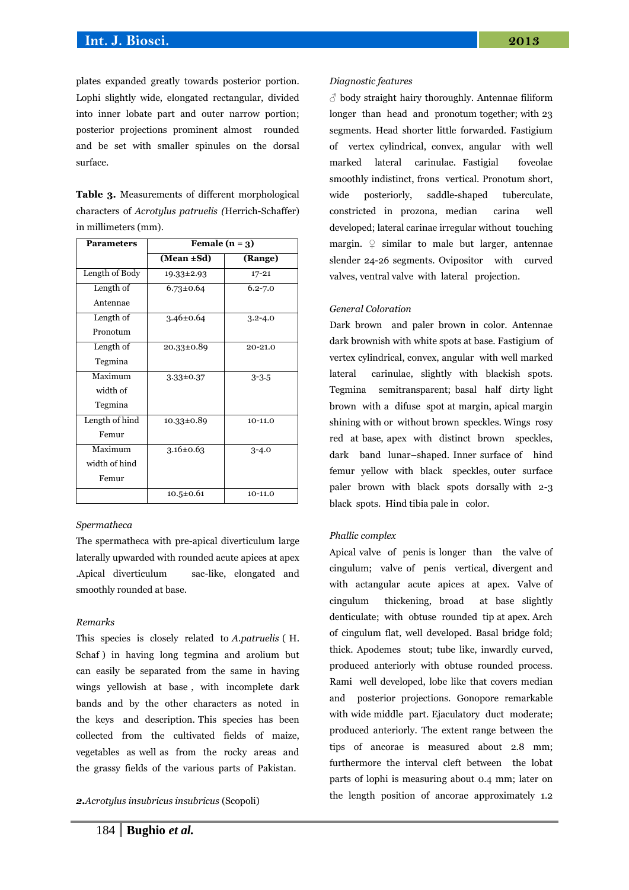plates expanded greatly towards posterior portion. Lophi slightly wide, elongated rectangular, divided into inner lobate part and outer narrow portion; posterior projections prominent almost rounded and be set with smaller spinules on the dorsal surface.

**Table 3.** Measurements of different morphological characters of *Acrotylus patruelis (*Herrich-Schaffer) in millimeters (mm).

| <b>Parameters</b> | Female $(n = 3)$ |             |  |
|-------------------|------------------|-------------|--|
|                   | (Mean $\pm$ Sd)  | (Range)     |  |
| Length of Body    | $19.33 \pm 2.93$ | $17 - 21$   |  |
| Length of         | $6.73 \pm 0.64$  | $6.2 - 7.0$ |  |
| Antennae          |                  |             |  |
| Length of         | $3.46 \pm 0.64$  | $3.2 - 4.0$ |  |
| Pronotum          |                  |             |  |
| Length of         | $20.33 \pm 0.89$ | 20-21.0     |  |
| Tegmina           |                  |             |  |
| Maximum           | $3.33 \pm 0.37$  | $3 - 3.5$   |  |
| width of          |                  |             |  |
| Tegmina           |                  |             |  |
| Length of hind    | $10.33 \pm 0.89$ | $10-11.0$   |  |
| Femur             |                  |             |  |
| Maximum           | $3.16 \pm 0.63$  | $3 - 4.0$   |  |
| width of hind     |                  |             |  |
| Femur             |                  |             |  |
|                   | $10.5 \pm 0.61$  | $10-11.0$   |  |

# *Spermatheca*

The spermatheca with pre-apical diverticulum large laterally upwarded with rounded acute apices at apex .Apical diverticulum sac-like, elongated and smoothly rounded at base.

#### *Remarks*

This species is closely related to *A.patruelis* ( H. Schaf ) in having long tegmina and arolium but can easily be separated from the same in having wings yellowish at base , with incomplete dark bands and by the other characters as noted in the keys and description. This species has been collected from the cultivated fields of maize, vegetables as well as from the rocky areas and the grassy fields of the various parts of Pakistan.

*2.Acrotylus insubricus insubricus* (Scopoli)

 $\delta$  body straight hairy thoroughly. Antennae filiform longer than head and pronotum together; with 23 segments. Head shorter little forwarded. Fastigium of vertex cylindrical, convex, angular with well marked lateral carinulae. Fastigial foveolae smoothly indistinct, frons vertical. Pronotum short, wide posteriorly, saddle-shaped tuberculate, constricted in prozona, median carina well developed; lateral carinae irregular without touching margin.  $\varphi$  similar to male but larger, antennae slender 24-26 segments. Ovipositor with curved valves, ventral valve with lateral projection.

# *General Coloration*

Dark brown and paler brown in color. Antennae dark brownish with white spots at base. Fastigium of vertex cylindrical, convex, angular with well marked lateral carinulae, slightly with blackish spots. Tegmina semitransparent; basal half dirty light brown with a difuse spot at margin, apical margin shining with or without brown speckles. Wings rosy red at base, apex with distinct brown speckles, dark band lunar–shaped. Inner surface of hind femur yellow with black speckles, outer surface paler brown with black spots dorsally with 2-3 black spots. Hind tibia pale in color.

# *Phallic complex*

Apical valve of penis is longer than the valve of cingulum; valve of penis vertical, divergent and with actangular acute apices at apex. Valve of cingulum thickening, broad at base slightly denticulate; with obtuse rounded tip at apex. Arch of cingulum flat, well developed. Basal bridge fold; thick. Apodemes stout; tube like, inwardly curved, produced anteriorly with obtuse rounded process. Rami well developed, lobe like that covers median and posterior projections. Gonopore remarkable with wide middle part. Ejaculatory duct moderate; produced anteriorly. The extent range between the tips of ancorae is measured about 2.8 mm; furthermore the interval cleft between the lobat parts of lophi is measuring about 0.4 mm; later on the length position of ancorae approximately 1.2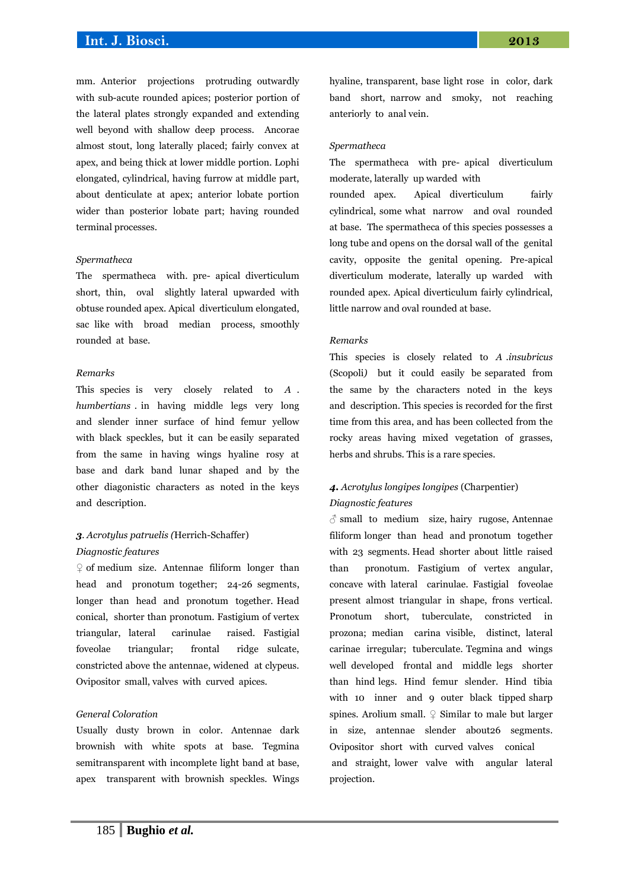# **Int. J. Biosci. 2013**

mm. Anterior projections protruding outwardly with sub-acute rounded apices; posterior portion of the lateral plates strongly expanded and extending well beyond with shallow deep process. Ancorae almost stout, long laterally placed; fairly convex at apex, and being thick at lower middle portion. Lophi elongated, cylindrical, having furrow at middle part, about denticulate at apex; anterior lobate portion wider than posterior lobate part; having rounded terminal processes.

#### *Spermatheca*

The spermatheca with. pre- apical diverticulum short, thin, oval slightly lateral upwarded with obtuse rounded apex. Apical diverticulum elongated, sac like with broad median process, smoothly rounded at base.

#### *Remarks*

This species is very closely related to *A . humbertians* . in having middle legs very long and slender inner surface of hind femur yellow with black speckles, but it can be easily separated from the same in having wings hyaline rosy at base and dark band lunar shaped and by the other diagonistic characters as noted in the keys and description.

# *3. Acrotylus patruelis (*Herrich-Schaffer) *Diagnostic features*

 $\varphi$  of medium size. Antennae filiform longer than head and pronotum together; 24-26 segments, longer than head and pronotum together. Head conical, shorter than pronotum. Fastigium of vertex triangular, lateral carinulae raised. Fastigial foveolae triangular; frontal ridge sulcate, constricted above the antennae, widened at clypeus. Ovipositor small, valves with curved apices.

### *General Coloration*

Usually dusty brown in color. Antennae dark brownish with white spots at base. Tegmina semitransparent with incomplete light band at base, apex transparent with brownish speckles. Wings

hyaline, transparent, base light rose in color, dark band short, narrow and smoky, not reaching anteriorly to anal vein.

#### *Spermatheca*

The spermatheca with pre- apical diverticulum moderate, laterally up warded with rounded apex. Apical diverticulum fairly cylindrical, some what narrow and oval rounded at base. The spermatheca of this species possesses a long tube and opens on the dorsal wall of the genital cavity, opposite the genital opening. Pre-apical diverticulum moderate, laterally up warded with rounded apex. Apical diverticulum fairly cylindrical, little narrow and oval rounded at base.

#### *Remarks*

This species is closely related to *A .insubricus*  (Scopoli*)* but it could easily be separated from the same by the characters noted in the keys and description. This species is recorded for the first time from this area, and has been collected from the rocky areas having mixed vegetation of grasses, herbs and shrubs. This is a rare species.

# *4. Acrotylus longipes longipes* (Charpentier) *Diagnostic features*

 $\delta$  small to medium size, hairy rugose, Antennae filiform longer than head and pronotum together with 23 segments. Head shorter about little raised than pronotum. Fastigium of vertex angular, concave with lateral carinulae. Fastigial foveolae present almost triangular in shape, frons vertical. Pronotum short, tuberculate, constricted in prozona; median carina visible, distinct, lateral carinae irregular; tuberculate. Tegmina and wings well developed frontal and middle legs shorter than hind legs. Hind femur slender. Hind tibia with 10 inner and 9 outer black tipped sharp spines. Arolium small.  $\mathcal{Q}$  Similar to male but larger in size, antennae slender about26 segments. Ovipositor short with curved valves conical and straight, lower valve with angular lateral projection.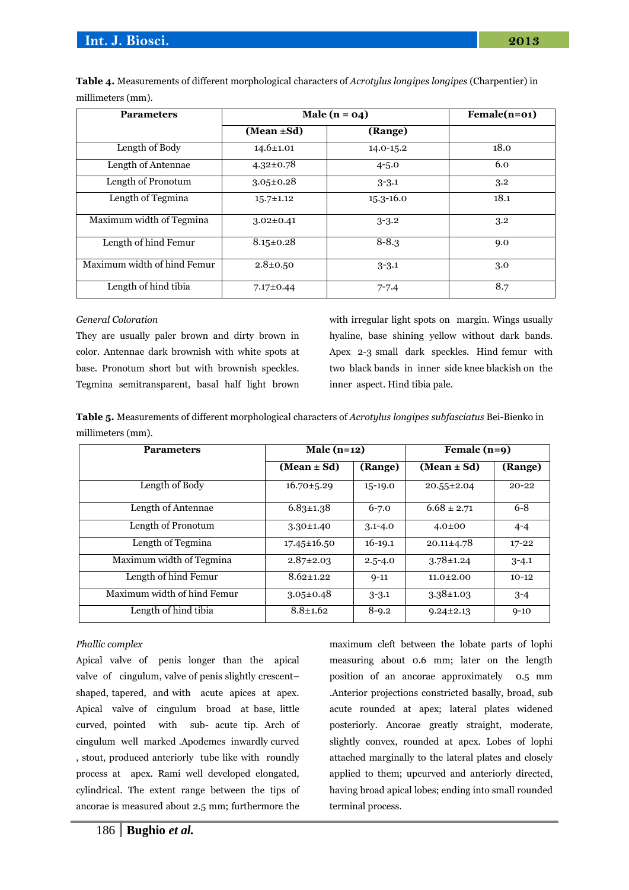| <b>Parameters</b>           | Male $(n = 04)$ |               | $\overline{\text{Female}}(n=01)$ |  |
|-----------------------------|-----------------|---------------|----------------------------------|--|
|                             | (Mean ±Sd)      | (Range)       |                                  |  |
| Length of Body              | $14.6 \pm 1.01$ | $14.0 - 15.2$ | 18.0                             |  |
| Length of Antennae          | $4.32 \pm 0.78$ | $4 - 5.0$     | 6.0                              |  |
| Length of Pronotum          | $3.05 \pm 0.28$ | $3 - 3.1$     | 3.2                              |  |
| Length of Tegmina           | $15.7 \pm 1.12$ | $15.3 - 16.0$ | 18.1                             |  |
| Maximum width of Tegmina    | $3.02 \pm 0.41$ | $3 - 3.2$     | 3.2                              |  |
| Length of hind Femur        | $8.15 \pm 0.28$ | $8 - 8.3$     | 9.0                              |  |
| Maximum width of hind Femur | $2.8 \pm 0.50$  | $3 - 3.1$     | 3.0                              |  |
| Length of hind tibia        | $7.17 \pm 0.44$ | $7 - 7.4$     | 8.7                              |  |

**Table 4.** Measurements of different morphological characters of *Acrotylus longipes longipes* (Charpentier) in millimeters (mm).

# *General Coloration*

They are usually paler brown and dirty brown in color. Antennae dark brownish with white spots at base. Pronotum short but with brownish speckles. Tegmina semitransparent, basal half light brown

with irregular light spots on margin. Wings usually hyaline, base shining yellow without dark bands. Apex 2-3 small dark speckles. Hind femur with two black bands in inner side knee blackish on the inner aspect. Hind tibia pale.

**Table 5.** Measurements of different morphological characters of *Acrotylus longipes subfasciatus* Bei-Bienko in millimeters (mm).

| <b>Parameters</b>           | Male $(n=12)$     |             | Female (n=9)     |           |
|-----------------------------|-------------------|-------------|------------------|-----------|
|                             | (Mean $\pm$ Sd)   | (Range)     | $(Mean \pm Sd)$  | (Range)   |
| Length of Body              | $16.70 \pm 5.29$  | $15-19.0$   | $20.55 \pm 2.04$ | $20 - 22$ |
| Length of Antennae          | $6.83 \pm 1.38$   | $6 - 7.0$   | $6.68 \pm 2.71$  | $6 - 8$   |
| Length of Pronotum          | $3.30 \pm 1.40$   | $3.1 - 4.0$ | $4.0{\pm}00$     | $4 - 4$   |
| Length of Tegmina           | $17.45 \pm 16.50$ | $16-19.1$   | $20.11 \pm 4.78$ | $17 - 22$ |
| Maximum width of Tegmina    | $2.87 \pm 2.03$   | $2.5 - 4.0$ | $3.78 \pm 1.24$  | $3 - 4.1$ |
| Length of hind Femur        | $8.62 \pm 1.22$   | $9 - 11$    | $11.0 \pm 2.00$  | $10-12$   |
| Maximum width of hind Femur | $3.05 \pm 0.48$   | $3 - 3.1$   | $3.38 \pm 1.03$  | $3 - 4$   |
| Length of hind tibia        | $8.8 \pm 1.62$    | $8 - 9.2$   | $9.24 \pm 2.13$  | $9 - 10$  |

# *Phallic complex*

Apical valve of penis longer than the apical valve of cingulum, valve of penis slightly crescent– shaped, tapered, and with acute apices at apex. Apical valve of cingulum broad at base, little curved, pointed with sub- acute tip. Arch of cingulum well marked .Apodemes inwardly curved , stout, produced anteriorly tube like with roundly process at apex. Rami well developed elongated, cylindrical. The extent range between the tips of ancorae is measured about 2.5 mm; furthermore the

maximum cleft between the lobate parts of lophi measuring about 0.6 mm; later on the length position of an ancorae approximately 0.5 mm .Anterior projections constricted basally, broad, sub acute rounded at apex; lateral plates widened posteriorly. Ancorae greatly straight, moderate, slightly convex, rounded at apex. Lobes of lophi attached marginally to the lateral plates and closely applied to them; upcurved and anteriorly directed, having broad apical lobes; ending into small rounded terminal process.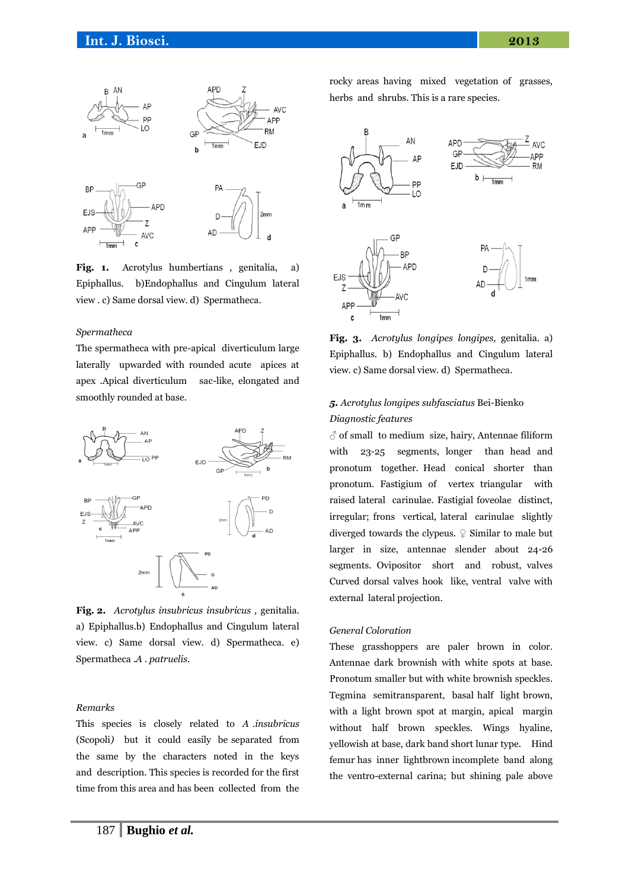

**Fig. 1.** Acrotylus humbertians , genitalia, a) Epiphallus. b)Endophallus and Cingulum lateral view . c) Same dorsal view. d) Spermatheca.

#### *Spermatheca*

The spermatheca with pre-apical diverticulum large laterally upwarded with rounded acute apices at apex .Apical diverticulum sac-like, elongated and smoothly rounded at base.



**Fig. 2.** *Acrotylus insubricus insubricus ,* genitalia. a) Epiphallus.b) Endophallus and Cingulum lateral view. c) Same dorsal view. d) Spermatheca. e) Spermatheca .*A . patruelis.*

## *Remarks*

This species is closely related to *A .insubricus*  (Scopoli*)* but it could easily be separated from the same by the characters noted in the keys and description. This species is recorded for the first time from this area and has been collected from the

rocky areas having mixed vegetation of grasses, herbs and shrubs. This is a rare species.



**Fig. 3.** *Acrotylus longipes longipes,* genitalia. a) Epiphallus. b) Endophallus and Cingulum lateral view. c) Same dorsal view. d) Spermatheca.

# *5. Acrotylus longipes subfasciatus* Bei-Bienko *Diagnostic features*

 $\delta$  of small to medium size, hairy, Antennae filiform with 23-25 segments, longer than head and pronotum together. Head conical shorter than pronotum. Fastigium of vertex triangular with raised lateral carinulae. Fastigial foveolae distinct, irregular; frons vertical, lateral carinulae slightly diverged towards the clypeus.  $\varphi$  Similar to male but larger in size, antennae slender about 24-26 segments. Ovipositor short and robust, valves Curved dorsal valves hook like, ventral valve with external lateral projection.

# *General Coloration*

These grasshoppers are paler brown in color. Antennae dark brownish with white spots at base. Pronotum smaller but with white brownish speckles. Tegmina semitransparent, basal half light brown, with a light brown spot at margin, apical margin without half brown speckles. Wings hyaline, yellowish at base, dark band short lunar type. Hind femur has inner lightbrown incomplete band along the ventro-external carina; but shining pale above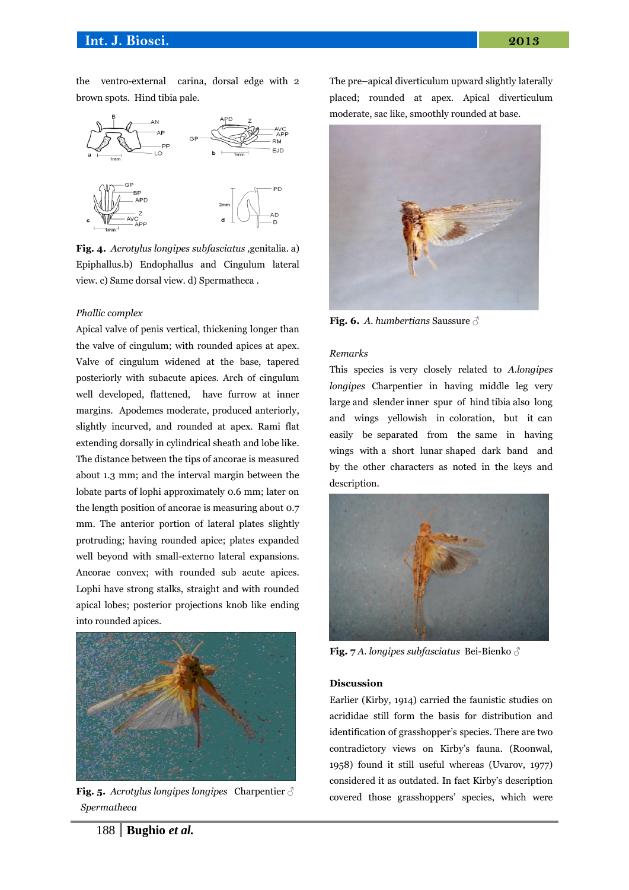the ventro-external carina, dorsal edge with 2 brown spots. Hind tibia pale.



**Fig. 4.** *Acrotylus longipes subfasciatus ,*genitalia. a) Epiphallus.b) Endophallus and Cingulum lateral view. c) Same dorsal view. d) Spermatheca .

#### *Phallic complex*

Apical valve of penis vertical, thickening longer than the valve of cingulum; with rounded apices at apex. Valve of cingulum widened at the base, tapered posteriorly with subacute apices. Arch of cingulum well developed, flattened, have furrow at inner margins. Apodemes moderate, produced anteriorly, slightly incurved, and rounded at apex. Rami flat extending dorsally in cylindrical sheath and lobe like. The distance between the tips of ancorae is measured about 1.3 mm; and the interval margin between the lobate parts of lophi approximately 0.6 mm; later on the length position of ancorae is measuring about 0.7 mm. The anterior portion of lateral plates slightly protruding; having rounded apice; plates expanded well beyond with small-externo lateral expansions. Ancorae convex; with rounded sub acute apices. Lophi have strong stalks, straight and with rounded apical lobes; posterior projections knob like ending into rounded apices.



**Fig. 5.** *Acrotylus longipes longipes* Charpentier ♂ *Spermatheca*

The pre–apical diverticulum upward slightly laterally placed; rounded at apex. Apical diverticulum moderate, sac like, smoothly rounded at base.



**Fig. 6.** *A. humbertians* Saussure ♂

# *Remarks*

This species is very closely related to *A.longipes longipes* Charpentier in having middle leg very large and slender inner spur of hind tibia also long and wings yellowish in coloration, but it can easily be separated from the same in having wings with a short lunar shaped dark band and by the other characters as noted in the keys and description.



**Fig. 7** *A. longipes subfasciatus* Bei-Bienko ♂

#### **Discussion**

Earlier (Kirby, 1914) carried the faunistic studies on acrididae still form the basis for distribution and identification of grasshopper's species. There are two contradictory views on Kirby's fauna. (Roonwal, 1958) found it still useful whereas (Uvarov, 1977) considered it as outdated. In fact Kirby's description covered those grasshoppers' species, which were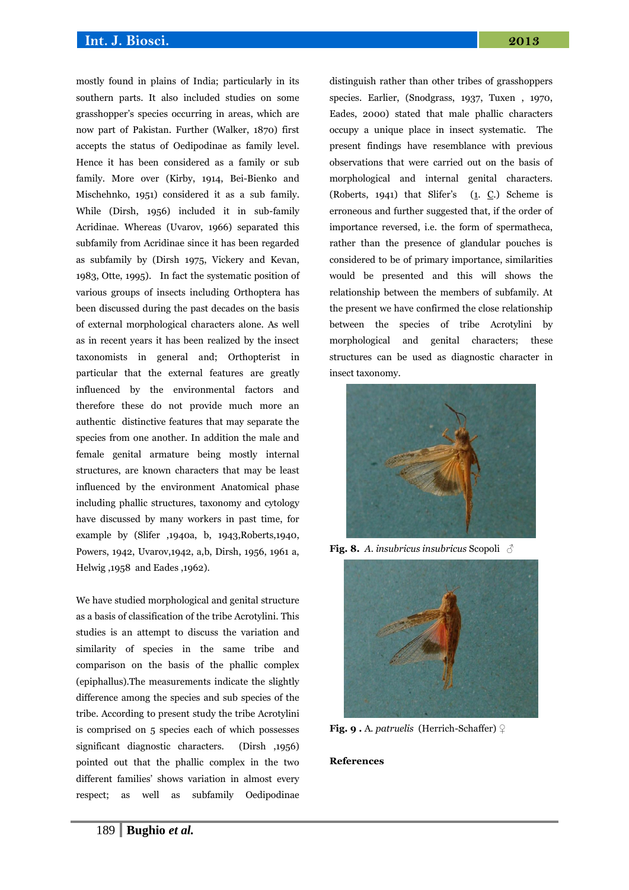# **Int. J. Biosci. 2013**

mostly found in plains of India; particularly in its southern parts. It also included studies on some grasshopper's species occurring in areas, which are now part of Pakistan. Further (Walker, 1870) first accepts the status of Oedipodinae as family level. Hence it has been considered as a family or sub family. More over (Kirby, 1914, Bei-Bienko and Mischehnko, 1951) considered it as a sub family. While (Dirsh, 1956) included it in sub-family Acridinae. Whereas (Uvarov, 1966) separated this subfamily from Acridinae since it has been regarded as subfamily by (Dirsh 1975, Vickery and Kevan, 1983, Otte, 1995). In fact the systematic position of various groups of insects including Orthoptera has been discussed during the past decades on the basis of external morphological characters alone. As well as in recent years it has been realized by the insect taxonomists in general and; Orthopterist in particular that the external features are greatly influenced by the environmental factors and therefore these do not provide much more an authentic distinctive features that may separate the species from one another. In addition the male and female genital armature being mostly internal structures, are known characters that may be least influenced by the environment Anatomical phase including phallic structures, taxonomy and cytology have discussed by many workers in past time, for example by (Slifer ,1940a, b, 1943,Roberts,1940, Powers, 1942, Uvarov,1942, a,b, Dirsh, 1956, 1961 a, Helwig ,1958 and Eades ,1962).

We have studied morphological and genital structure as a basis of classification of the tribe Acrotylini. This studies is an attempt to discuss the variation and similarity of species in the same tribe and comparison on the basis of the phallic complex (epiphallus).The measurements indicate the slightly difference among the species and sub species of the tribe. According to present study the tribe Acrotylini is comprised on 5 species each of which possesses significant diagnostic characters. (Dirsh ,1956) pointed out that the phallic complex in the two different families' shows variation in almost every respect; as well as subfamily Oedipodinae

distinguish rather than other tribes of grasshoppers species. Earlier, (Snodgrass, 1937, Tuxen , 1970, Eades, 2000) stated that male phallic characters occupy a unique place in insect systematic. The present findings have resemblance with previous observations that were carried out on the basis of morphological and internal genital characters. (Roberts, 1941) that Slifer's  $(1, C)$  Scheme is erroneous and further suggested that, if the order of importance reversed, i.e. the form of spermatheca, rather than the presence of glandular pouches is considered to be of primary importance, similarities would be presented and this will shows the relationship between the members of subfamily. At the present we have confirmed the close relationship between the species of tribe Acrotylini by morphological and genital characters; these structures can be used as diagnostic character in insect taxonomy.



**Fig. 8.** *A. insubricus insubricus* Scopoli ♂



**Fig. 9 .** A*. patruelis* (Herrich-Schaffer) ♀

## **References**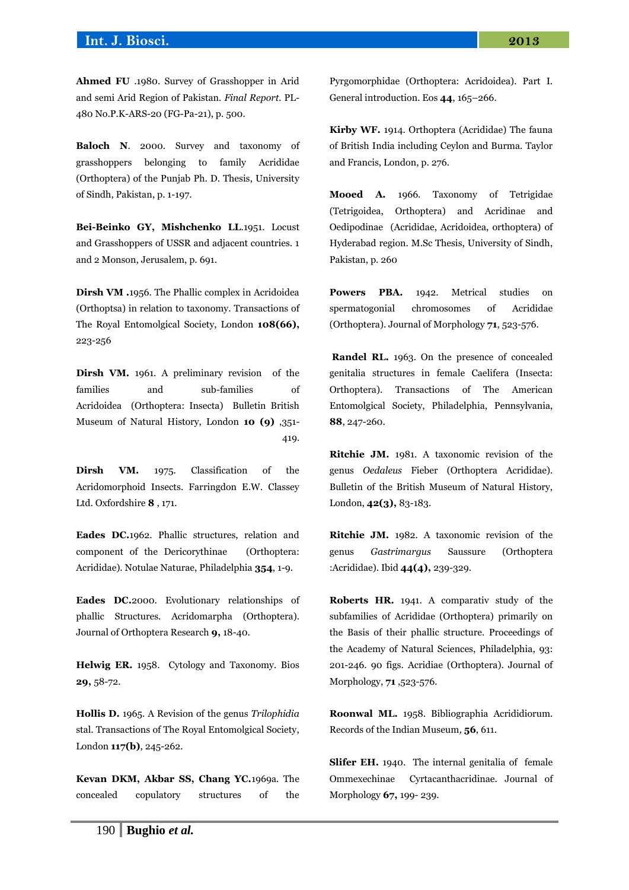**Ahmed FU** .1980. Survey of Grasshopper in Arid and semi Arid Region of Pakistan. *Final Report.* PL-480 No.P.K-ARS-20 (FG-Pa-21), p. 500.

**Baloch N**. 2000. Survey and taxonomy of grasshoppers belonging to family Acrididae (Orthoptera) of the Punjab Ph. D. Thesis, University of Sindh, Pakistan, p. 1-197.

**Bei-Beinko GY, Mishchenko LL**.1951. Locust and Grasshoppers of USSR and adjacent countries. 1 and 2 Monson, Jerusalem, p. 691.

**Dirsh VM .**1956. The Phallic complex in Acridoidea (Orthoptsa) in relation to taxonomy. Transactions of The Royal Entomolgical Society, London **108(66),**  223-256

**Dirsh VM.** 1961. A preliminary revision of the families and sub-families of Acridoidea (Orthoptera: Insecta) Bulletin British Museum of Natural History, London **10 (9)** ,351- 419.

**Dirsh VM.** 1975. Classification of the Acridomorphoid Insects. Farringdon E.W. Classey Ltd. Oxfordshire **8** , 171.

**Eades DC.**1962. Phallic structures, relation and component of the Dericorythinae (Orthoptera: Acrididae). Notulae Naturae, Philadelphia **354**, 1-9.

**Eades DC.**2000. Evolutionary relationships of phallic Structures. Acridomarpha (Orthoptera). Journal of Orthoptera Research **9,** 18-40.

**Helwig ER.** 1958. Cytology and Taxonomy. Bios **29,** 58-72.

**Hollis D.** 1965. A Revision of the genus *Trilophidia* stal. Transactions of The Royal Entomolgical Society, London **117(b)**, 245-262.

**Kevan DKM, Akbar SS, Chang YC.**1969a. The concealed copulatory structures of the Pyrgomorphidae (Orthoptera: Acridoidea). Part I. General introduction. Eos **44**, 165–266.

**Kirby WF.** 1914. Orthoptera (Acrididae) The fauna of British India including Ceylon and Burma. Taylor and Francis, London, p. 276.

**Mooed A.** 1966. Taxonomy of Tetrigidae (Tetrigoidea, Orthoptera) and Acridinae and Oedipodinae (Acrididae, Acridoidea, orthoptera) of Hyderabad region. M.Sc Thesis, University of Sindh, Pakistan, p. 260

**Powers PBA.** 1942. Metrical studies on spermatogonial chromosomes of Acrididae (Orthoptera). Journal of Morphology **71**, 523-576.

**Randel RL.** 1963. On the presence of concealed genitalia structures in female Caelifera (Insecta: Orthoptera). Transactions of The American Entomolgical Society, Philadelphia, Pennsylvania, **88**, 247-260.

**Ritchie JM.** 1981. A taxonomic revision of the genus *Oedaleus* Fieber (Orthoptera Acrididae). Bulletin of the British Museum of Natural History, London, **42(3),** 83-183.

**Ritchie JM.** 1982. A taxonomic revision of the genus *Gastrimargus* Saussure (Orthoptera :Acrididae). Ibid **44(4),** 239-329.

**Roberts HR.** 1941. A comparativ study of the subfamilies of Acrididae (Orthoptera) primarily on the Basis of their phallic structure. Proceedings of the Academy of Natural Sciences, Philadelphia*,* 93: 201-246. 90 figs. Acridiae (Orthoptera). Journal of Morphology, **71** ,523-576.

**Roonwal ML.** 1958. Bibliographia Acrididiorum. Records of the Indian Museum*,* **56**, 611.

**Slifer EH.** 1940. The internal genitalia of female Ommexechinae Cyrtacanthacridinae. Journal of Morphology **67,** 199- 239.